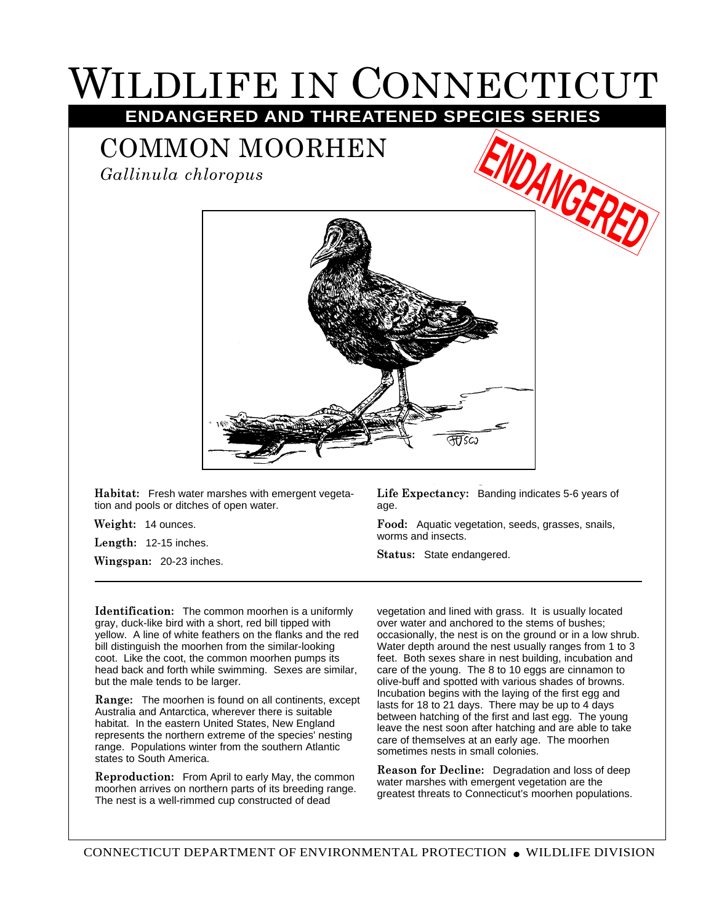## WILDLIFE IN CONNECTICUT **ENDANGERED AND THREATENED SPECIES SERIES**

## COMMON MOORHEN

*Gallinula chloropus*



**Habitat:** Fresh water marshes with emergent vegetation and pools or ditches of open water.

**Weight:** 14 ounces.

**Length:** 12-15 inches.

**Wingspan:** 20-23 inches.

**Life Expectancy:** Banding indicates 5-6 years of age.

**Food:** Aquatic vegetation, seeds, grasses, snails, worms and insects.

**Status:** State endangered.

**Identification:** The common moorhen is a uniformly gray, duck-like bird with a short, red bill tipped with yellow. A line of white feathers on the flanks and the red bill distinguish the moorhen from the similar-looking coot. Like the coot, the common moorhen pumps its head back and forth while swimming. Sexes are similar, but the male tends to be larger.

**Range:** The moorhen is found on all continents, except Australia and Antarctica, wherever there is suitable habitat. In the eastern United States, New England represents the northern extreme of the species' nesting range. Populations winter from the southern Atlantic states to South America.

**Reproduction:** From April to early May, the common moorhen arrives on northern parts of its breeding range. The nest is a well-rimmed cup constructed of dead

vegetation and lined with grass. It is usually located over water and anchored to the stems of bushes; occasionally, the nest is on the ground or in a low shrub. Water depth around the nest usually ranges from 1 to 3 feet. Both sexes share in nest building, incubation and care of the young. The 8 to 10 eggs are cinnamon to olive-buff and spotted with various shades of browns. Incubation begins with the laying of the first egg and lasts for 18 to 21 days. There may be up to 4 days between hatching of the first and last egg. The young leave the nest soon after hatching and are able to take care of themselves at an early age. The moorhen sometimes nests in small colonies.

**Reason for Decline:** Degradation and loss of deep water marshes with emergent vegetation are the greatest threats to Connecticut's moorhen populations.